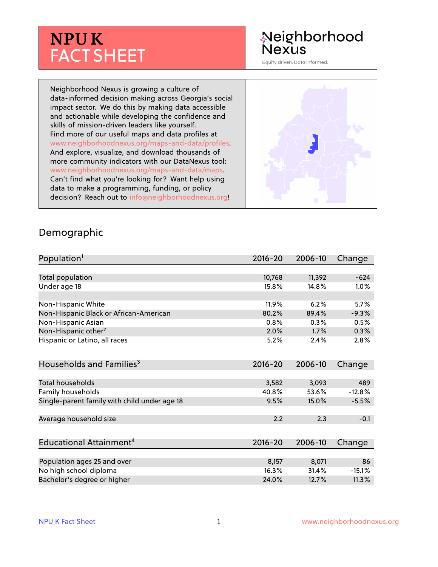# **NPU K** FACT SHEET

## Neighborhood **Nexus**

Equity driven. Data informed.

Neighborhood Nexus is growing a culture of data-informed decision making across Georgia's social impact sector. We do this by making data accessible and actionable while developing the confidence and skills of mission-driven leaders like yourself. Find more of our useful maps and data profiles at www.neighborhoodnexus.org/maps-and-data/profiles. And explore, visualize, and download thousands of more community indicators with our DataNexus tool: www.neighborhoodnexus.org/maps-and-data/maps. Can't find what you're looking for? Want help using data to make a programming, funding, or policy decision? Reach out to [info@neighborhoodnexus.org!](mailto:info@neighborhoodnexus.org)



#### Demographic

| Population <sup>1</sup>                      | $2016 - 20$ | 2006-10 | Change   |
|----------------------------------------------|-------------|---------|----------|
|                                              |             |         |          |
| Total population                             | 10,768      | 11,392  | $-624$   |
| Under age 18                                 | 15.8%       | 14.8%   | 1.0%     |
|                                              |             |         |          |
| Non-Hispanic White                           | 11.9%       | 6.2%    | 5.7%     |
| Non-Hispanic Black or African-American       | 80.2%       | 89.4%   | $-9.3%$  |
| Non-Hispanic Asian                           | 0.8%        | 0.3%    | 0.5%     |
| Non-Hispanic other <sup>2</sup>              | 2.0%        | 1.7%    | 0.3%     |
| Hispanic or Latino, all races                | 5.2%        | 2.4%    | 2.8%     |
|                                              |             |         |          |
| Households and Families <sup>3</sup>         | $2016 - 20$ | 2006-10 | Change   |
|                                              |             |         |          |
| Total households                             | 3,582       | 3,093   | 489      |
| <b>Family households</b>                     | 40.8%       | 53.6%   | $-12.8%$ |
| Single-parent family with child under age 18 | 9.5%        | 15.0%   | $-5.5%$  |
|                                              |             |         |          |
| Average household size                       | 2.2         | 2.3     | $-0.1$   |
|                                              |             |         |          |
| Educational Attainment <sup>4</sup>          | $2016 - 20$ | 2006-10 | Change   |
|                                              |             |         |          |
| Population ages 25 and over                  | 8,157       | 8,071   | 86       |
| No high school diploma                       | 16.3%       | 31.4%   | $-15.1%$ |
| Bachelor's degree or higher                  | 24.0%       | 12.7%   | 11.3%    |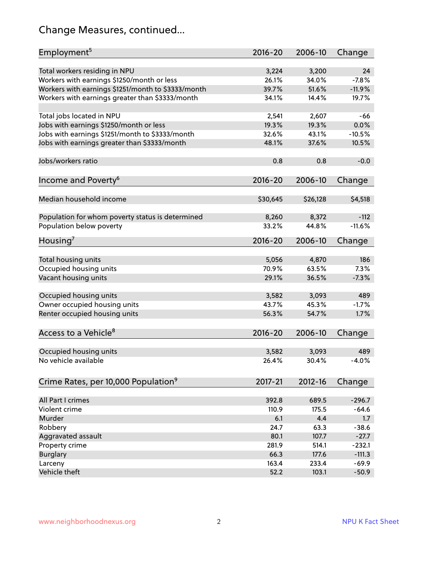## Change Measures, continued...

| Employment <sup>5</sup>                            | $2016 - 20$ | 2006-10  | Change   |
|----------------------------------------------------|-------------|----------|----------|
|                                                    |             |          |          |
| Total workers residing in NPU                      | 3,224       | 3,200    | 24       |
| Workers with earnings \$1250/month or less         | 26.1%       | 34.0%    | $-7.8%$  |
| Workers with earnings \$1251/month to \$3333/month | 39.7%       | 51.6%    | $-11.9%$ |
| Workers with earnings greater than \$3333/month    | 34.1%       | 14.4%    | 19.7%    |
| Total jobs located in NPU                          | 2,541       | 2,607    | -66      |
| Jobs with earnings \$1250/month or less            | 19.3%       | 19.3%    | 0.0%     |
| Jobs with earnings \$1251/month to \$3333/month    | 32.6%       | 43.1%    | $-10.5%$ |
| Jobs with earnings greater than \$3333/month       | 48.1%       | 37.6%    | 10.5%    |
|                                                    |             |          |          |
| Jobs/workers ratio                                 | 0.8         | 0.8      | $-0.0$   |
| Income and Poverty <sup>6</sup>                    | $2016 - 20$ | 2006-10  | Change   |
|                                                    |             |          |          |
| Median household income                            | \$30,645    | \$26,128 | \$4,518  |
|                                                    |             |          |          |
| Population for whom poverty status is determined   | 8,260       | 8,372    | $-112$   |
| Population below poverty                           | 33.2%       | 44.8%    | $-11.6%$ |
| Housing <sup>7</sup>                               | $2016 - 20$ | 2006-10  | Change   |
|                                                    |             |          |          |
| Total housing units                                | 5,056       | 4,870    | 186      |
| Occupied housing units                             | 70.9%       | 63.5%    | 7.3%     |
| Vacant housing units                               | 29.1%       | 36.5%    | $-7.3%$  |
|                                                    |             |          |          |
| Occupied housing units                             | 3,582       | 3,093    | 489      |
| Owner occupied housing units                       | 43.7%       | 45.3%    | $-1.7%$  |
| Renter occupied housing units                      | 56.3%       | 54.7%    | 1.7%     |
|                                                    |             |          |          |
| Access to a Vehicle <sup>8</sup>                   | $2016 - 20$ | 2006-10  | Change   |
| Occupied housing units                             | 3,582       | 3,093    | 489      |
| No vehicle available                               | 26.4%       | 30.4%    | $-4.0%$  |
|                                                    |             |          |          |
| Crime Rates, per 10,000 Population <sup>9</sup>    | 2017-21     | 2012-16  | Change   |
|                                                    |             |          |          |
| All Part I crimes                                  | 392.8       | 689.5    | $-296.7$ |
| Violent crime                                      | 110.9       | 175.5    | $-64.6$  |
| Murder                                             | 6.1         | 4.4      | 1.7      |
| Robbery                                            | 24.7        | 63.3     | $-38.6$  |
| Aggravated assault                                 | 80.1        | 107.7    | $-27.7$  |
| Property crime                                     | 281.9       | 514.1    | $-232.1$ |
| <b>Burglary</b>                                    | 66.3        | 177.6    | $-111.3$ |
| Larceny                                            | 163.4       | 233.4    | $-69.9$  |
| Vehicle theft                                      | 52.2        | 103.1    | $-50.9$  |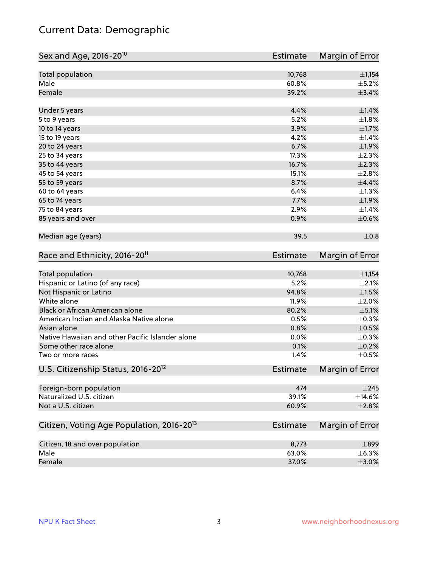## Current Data: Demographic

| Sex and Age, 2016-20 <sup>10</sup>                    | Estimate        | Margin of Error |
|-------------------------------------------------------|-----------------|-----------------|
| Total population                                      | 10,768          | ±1,154          |
| Male                                                  | 60.8%           | $\pm$ 5.2%      |
| Female                                                | 39.2%           | $\pm$ 3.4%      |
| Under 5 years                                         | 4.4%            | $\pm1.4\%$      |
| 5 to 9 years                                          | 5.2%            | $\pm1.8\%$      |
| 10 to 14 years                                        | 3.9%            | $\pm1.7\%$      |
| 15 to 19 years                                        | 4.2%            | ±1.4%           |
| 20 to 24 years                                        | 6.7%            | ±1.9%           |
| 25 to 34 years                                        | 17.3%           | $\pm 2.3\%$     |
| 35 to 44 years                                        | 16.7%           | $\pm 2.3\%$     |
| 45 to 54 years                                        | 15.1%           | $\pm 2.8\%$     |
| 55 to 59 years                                        | 8.7%            | $\pm$ 4.4%      |
| 60 to 64 years                                        | 6.4%            | $\pm 1.3\%$     |
| 65 to 74 years                                        | 7.7%            | ±1.9%           |
| 75 to 84 years                                        | 2.9%            | ±1.4%           |
| 85 years and over                                     | 0.9%            | $\pm$ 0.6%      |
| Median age (years)                                    | 39.5            | $\pm$ 0.8       |
| Race and Ethnicity, 2016-20 <sup>11</sup>             | <b>Estimate</b> | Margin of Error |
| <b>Total population</b>                               | 10,768          | ±1,154          |
| Hispanic or Latino (of any race)                      | 5.2%            | $\pm 2.1\%$     |
| Not Hispanic or Latino                                | 94.8%           | $\pm 1.5\%$     |
| White alone                                           | 11.9%           | $\pm 2.0\%$     |
| Black or African American alone                       | 80.2%           | $\pm$ 5.1%      |
| American Indian and Alaska Native alone               | 0.5%            | $\pm$ 0.3%      |
| Asian alone                                           | 0.8%            | $\pm$ 0.5%      |
| Native Hawaiian and other Pacific Islander alone      | 0.0%            | $\pm$ 0.3%      |
| Some other race alone                                 | 0.1%            | $\pm$ 0.2%      |
| Two or more races                                     | 1.4%            | $\pm$ 0.5%      |
| U.S. Citizenship Status, 2016-20 <sup>12</sup>        | Estimate        | Margin of Error |
| Foreign-born population                               | 474             | $\pm 245$       |
| Naturalized U.S. citizen                              | 39.1%           | $\pm$ 14.6%     |
| Not a U.S. citizen                                    | 60.9%           | $\pm 2.8\%$     |
| Citizen, Voting Age Population, 2016-20 <sup>13</sup> | <b>Estimate</b> | Margin of Error |
| Citizen, 18 and over population                       | 8,773           | $\pm$ 899       |
| Male                                                  | 63.0%           | $\pm$ 6.3%      |
| Female                                                | 37.0%           | $\pm 3.0\%$     |
|                                                       |                 |                 |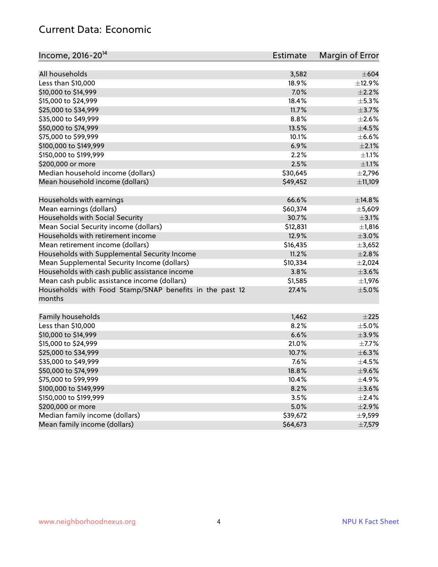#### Current Data: Economic

| Income, 2016-20 <sup>14</sup>                           | Estimate | Margin of Error |
|---------------------------------------------------------|----------|-----------------|
| All households                                          | 3,582    | $\pm 604$       |
| Less than \$10,000                                      | 18.9%    | ±12.9%          |
| \$10,000 to \$14,999                                    | 7.0%     | $\pm 2.2\%$     |
| \$15,000 to \$24,999                                    | 18.4%    | $\pm$ 5.3%      |
| \$25,000 to \$34,999                                    | 11.7%    | $\pm$ 3.7%      |
|                                                         | 8.8%     | $\pm 2.6\%$     |
| \$35,000 to \$49,999                                    |          |                 |
| \$50,000 to \$74,999                                    | 13.5%    | $\pm 4.5\%$     |
| \$75,000 to \$99,999                                    | 10.1%    | $\pm$ 6.6%      |
| \$100,000 to \$149,999                                  | 6.9%     | $\pm 2.1\%$     |
| \$150,000 to \$199,999                                  | 2.2%     | $\pm 1.1\%$     |
| \$200,000 or more                                       | 2.5%     | $\pm 1.1\%$     |
| Median household income (dollars)                       | \$30,645 | $\pm$ 2,796     |
| Mean household income (dollars)                         | \$49,452 | ±11,109         |
| Households with earnings                                | 66.6%    | ±14.8%          |
| Mean earnings (dollars)                                 | \$60,374 | ±5,609          |
| Households with Social Security                         | 30.7%    | $\pm$ 3.1%      |
| Mean Social Security income (dollars)                   | \$12,831 | ±1,816          |
| Households with retirement income                       | 12.9%    | $\pm 3.0\%$     |
| Mean retirement income (dollars)                        | \$16,435 | ±3,652          |
| Households with Supplemental Security Income            | 11.2%    | $\pm 2.8\%$     |
| Mean Supplemental Security Income (dollars)             | \$10,334 | $\pm 2,024$     |
| Households with cash public assistance income           | 3.8%     | $\pm$ 3.6%      |
| Mean cash public assistance income (dollars)            | \$1,585  | $\pm$ 1,976     |
| Households with Food Stamp/SNAP benefits in the past 12 | 27.4%    | $\pm$ 5.0%      |
| months                                                  |          |                 |
| Family households                                       | 1,462    | ±225            |
| Less than \$10,000                                      | 8.2%     | $\pm$ 5.0%      |
| \$10,000 to \$14,999                                    | 6.6%     | ±3.9%           |
| \$15,000 to \$24,999                                    | 21.0%    | $\pm$ 7.7%      |
| \$25,000 to \$34,999                                    | 10.7%    | ±6.3%           |
| \$35,000 to \$49,999                                    | 7.6%     | $\pm$ 4.5%      |
|                                                         |          |                 |
| \$50,000 to \$74,999                                    | 18.8%    | $\pm$ 9.6%      |
| \$75,000 to \$99,999                                    | 10.4%    | $\pm$ 4.9%      |
| \$100,000 to \$149,999                                  | 8.2%     | $\pm 3.6\%$     |
| \$150,000 to \$199,999                                  | 3.5%     | $\pm 2.4\%$     |
| \$200,000 or more                                       | 5.0%     | $\pm 2.9\%$     |
| Median family income (dollars)                          | \$39,672 | $\pm$ 9,599     |
| Mean family income (dollars)                            | \$64,673 | ±7,579          |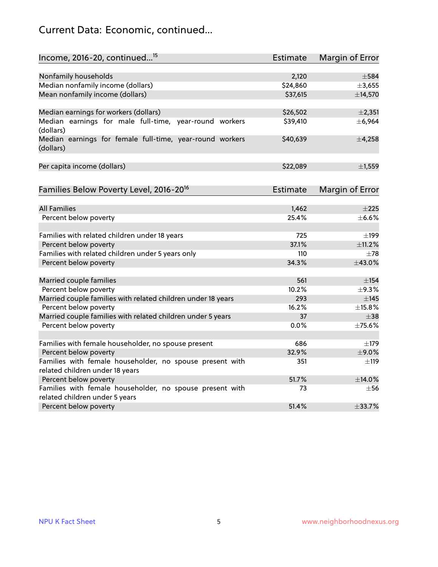## Current Data: Economic, continued...

| Income, 2016-20, continued <sup>15</sup>                              | <b>Estimate</b> | <b>Margin of Error</b> |
|-----------------------------------------------------------------------|-----------------|------------------------|
|                                                                       |                 |                        |
| Nonfamily households                                                  | 2,120           | $\pm$ 584              |
| Median nonfamily income (dollars)                                     | \$24,860        | ±3,655                 |
| Mean nonfamily income (dollars)                                       | \$37,615        | ±14,570                |
| Median earnings for workers (dollars)                                 | \$26,502        | ±2,351                 |
| Median earnings for male full-time, year-round workers<br>(dollars)   | \$39,410        | ±6,964                 |
| Median earnings for female full-time, year-round workers<br>(dollars) | \$40,639        | $\pm$ 4,258            |
| Per capita income (dollars)                                           | \$22,089        | ±1,559                 |
| Families Below Poverty Level, 2016-20 <sup>16</sup>                   | <b>Estimate</b> | <b>Margin of Error</b> |
|                                                                       |                 |                        |
| <b>All Families</b>                                                   | 1,462           | $\pm 225$              |
| Percent below poverty                                                 | 25.4%           | $\pm$ 6.6%             |
| Families with related children under 18 years                         | 725             | $\pm$ 199              |
| Percent below poverty                                                 | 37.1%           | ±11.2%                 |
| Families with related children under 5 years only                     | 110             | $\pm 78$               |
| Percent below poverty                                                 | 34.3%           | ±43.0%                 |
| Married couple families                                               | 561             | $\pm$ 154              |
| Percent below poverty                                                 | 10.2%           | ±9.3%                  |
| Married couple families with related children under 18 years          | 293             | $\pm$ 145              |
| Percent below poverty                                                 | 16.2%           | ±15.8%                 |
| Married couple families with related children under 5 years           | 37              | $\pm$ 38               |
| Percent below poverty                                                 | $0.0\%$         | ±75.6%                 |
| Families with female householder, no spouse present                   | 686             | $\pm$ 179              |
| Percent below poverty                                                 | 32.9%           | ±9.0%                  |
| Families with female householder, no spouse present with              | 351             | $\pm$ 119              |
| related children under 18 years                                       |                 |                        |
| Percent below poverty                                                 | 51.7%           | ±14.0%                 |
| Families with female householder, no spouse present with              | 73              | $\pm$ 56               |
| related children under 5 years<br>Percent below poverty               | 51.4%           | $\pm$ 33.7%            |
|                                                                       |                 |                        |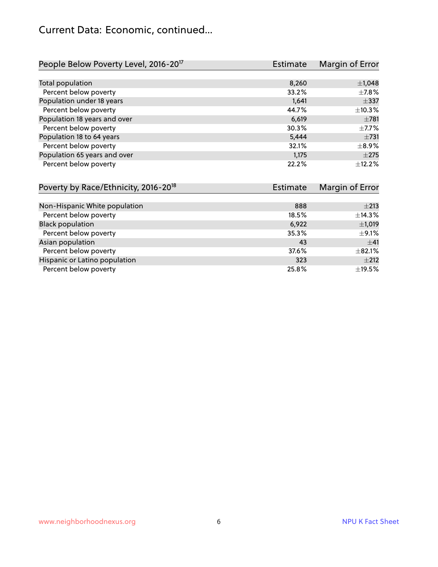#### Current Data: Economic, continued...

| People Below Poverty Level, 2016-20 <sup>17</sup> | <b>Estimate</b> | Margin of Error |
|---------------------------------------------------|-----------------|-----------------|
|                                                   |                 |                 |
| Total population                                  | 8,260           | $\pm$ 1,048     |
| Percent below poverty                             | 33.2%           | $\pm$ 7.8%      |
| Population under 18 years                         | 1.641           | $\pm$ 337       |
| Percent below poverty                             | 44.7%           | ±10.3%          |
| Population 18 years and over                      | 6,619           | $\pm 781$       |
| Percent below poverty                             | 30.3%           | $\pm$ 7.7%      |
| Population 18 to 64 years                         | 5,444           | $\pm 731$       |
| Percent below poverty                             | 32.1%           | $\pm$ 8.9%      |
| Population 65 years and over                      | 1.175           | $\pm 275$       |
| Percent below poverty                             | 22.2%           | ±12.2%          |

| Poverty by Race/Ethnicity, 2016-20 <sup>18</sup> | <b>Estimate</b> | Margin of Error |
|--------------------------------------------------|-----------------|-----------------|
|                                                  |                 |                 |
| Non-Hispanic White population                    | 888             | $\pm 213$       |
| Percent below poverty                            | 18.5%           | ±14.3%          |
| <b>Black population</b>                          | 6,922           | $\pm$ 1,019     |
| Percent below poverty                            | 35.3%           | $\pm$ 9.1%      |
| Asian population                                 | 43              | ±41             |
| Percent below poverty                            | 37.6%           | $\pm$ 82.1%     |
| Hispanic or Latino population                    | 323             | $\pm 212$       |
| Percent below poverty                            | 25.8%           | $\pm$ 19.5%     |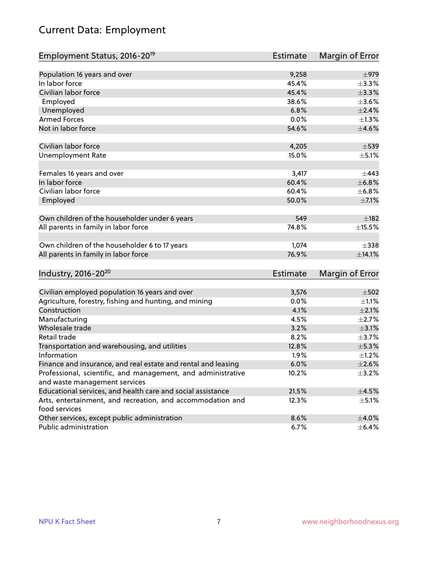## Current Data: Employment

| Employment Status, 2016-20 <sup>19</sup>                      | <b>Estimate</b> | Margin of Error |
|---------------------------------------------------------------|-----------------|-----------------|
|                                                               |                 |                 |
| Population 16 years and over                                  | 9,258           | $\pm$ 979       |
| In labor force                                                | 45.4%           | ±3.3%           |
| Civilian labor force                                          | 45.4%           | $\pm$ 3.3%      |
| Employed                                                      | 38.6%           | $\pm 3.6\%$     |
| Unemployed                                                    | 6.8%            | $\pm 2.4\%$     |
| <b>Armed Forces</b>                                           | 0.0%            | $\pm 1.3\%$     |
| Not in labor force                                            | 54.6%           | $\pm$ 4.6%      |
| Civilian labor force                                          | 4,205           | $\pm$ 539       |
| <b>Unemployment Rate</b>                                      | 15.0%           | $\pm$ 5.1%      |
|                                                               |                 |                 |
| Females 16 years and over                                     | 3,417           | $\pm$ 443       |
| In labor force                                                | 60.4%           | ±6.8%           |
| Civilian labor force                                          | 60.4%           | ±6.8%           |
| Employed                                                      | 50.0%           | $\pm$ 7.1%      |
| Own children of the householder under 6 years                 | 549             | $\pm$ 182       |
|                                                               | 74.8%           |                 |
| All parents in family in labor force                          |                 | ±15.5%          |
| Own children of the householder 6 to 17 years                 | 1,074           | $\pm$ 338       |
| All parents in family in labor force                          | 76.9%           | $\pm$ 14.1%     |
|                                                               |                 |                 |
| Industry, 2016-20 <sup>20</sup>                               | Estimate        | Margin of Error |
| Civilian employed population 16 years and over                | 3,576           | $\pm$ 502       |
| Agriculture, forestry, fishing and hunting, and mining        | 0.0%            | $\pm 1.1\%$     |
| Construction                                                  | 4.1%            | $\pm 2.1\%$     |
| Manufacturing                                                 | 4.5%            | $\pm 2.7\%$     |
| Wholesale trade                                               | 3.2%            | $\pm 3.1\%$     |
| Retail trade                                                  | 8.2%            | $\pm$ 3.7%      |
| Transportation and warehousing, and utilities                 | 12.8%           | $\pm$ 5.3%      |
| Information                                                   | 1.9%            | $\pm 1.2\%$     |
| Finance and insurance, and real estate and rental and leasing | 6.0%            | $\pm 2.6\%$     |
| Professional, scientific, and management, and administrative  | 10.2%           | $\pm$ 3.2%      |
| and waste management services                                 |                 |                 |
| Educational services, and health care and social assistance   | 21.5%           | $\pm 4.5\%$     |
| Arts, entertainment, and recreation, and accommodation and    | 12.3%           | $\pm$ 5.1%      |
| food services                                                 |                 |                 |
| Other services, except public administration                  | 8.6%            | $\pm$ 4.0%      |
| Public administration                                         | 6.7%            | $\pm$ 6.4%      |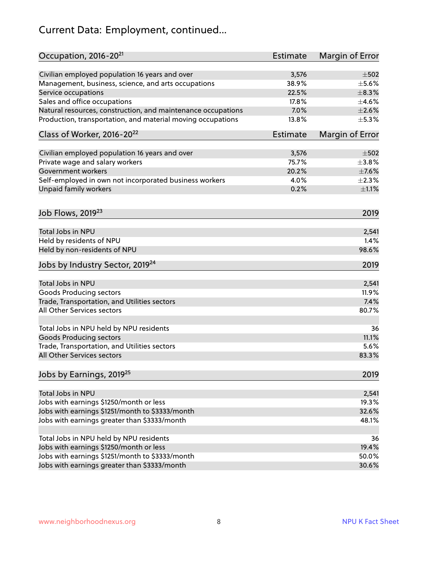## Current Data: Employment, continued...

| Occupation, 2016-20 <sup>21</sup>                            | <b>Estimate</b> | Margin of Error |
|--------------------------------------------------------------|-----------------|-----------------|
| Civilian employed population 16 years and over               | 3,576           | $\pm$ 502       |
| Management, business, science, and arts occupations          | 38.9%           | $\pm$ 5.6%      |
| Service occupations                                          | 22.5%           | $\pm$ 8.3%      |
| Sales and office occupations                                 | 17.8%           | $\pm 4.6\%$     |
| Natural resources, construction, and maintenance occupations | 7.0%            | $\pm 2.6\%$     |
| Production, transportation, and material moving occupations  | 13.8%           | $\pm$ 5.3%      |
| Class of Worker, 2016-20 <sup>22</sup>                       | <b>Estimate</b> | Margin of Error |
| Civilian employed population 16 years and over               | 3,576           | $\pm$ 502       |
| Private wage and salary workers                              | 75.7%           | ±3.8%           |
| <b>Government workers</b>                                    | 20.2%           | $\pm$ 7.6%      |
| Self-employed in own not incorporated business workers       | 4.0%            | $\pm 2.3\%$     |
| Unpaid family workers                                        | 0.2%            | $\pm 1.1\%$     |
| Job Flows, 2019 <sup>23</sup>                                |                 | 2019            |
| <b>Total Jobs in NPU</b>                                     |                 | 2,541           |
| Held by residents of NPU                                     |                 | 1.4%            |
| Held by non-residents of NPU                                 |                 | 98.6%           |
|                                                              |                 |                 |
| Jobs by Industry Sector, 2019 <sup>24</sup>                  |                 | 2019            |
| Total Jobs in NPU                                            |                 | 2,541           |
| <b>Goods Producing sectors</b>                               |                 | 11.9%           |
| Trade, Transportation, and Utilities sectors                 |                 | 7.4%            |
| All Other Services sectors                                   |                 | 80.7%           |
| Total Jobs in NPU held by NPU residents                      |                 | 36              |
| <b>Goods Producing sectors</b>                               |                 | 11.1%           |
| Trade, Transportation, and Utilities sectors                 |                 | 5.6%            |
| All Other Services sectors                                   |                 | 83.3%           |
| Jobs by Earnings, 2019 <sup>25</sup>                         |                 | 2019            |
| Total Jobs in NPU                                            |                 | 2,541           |
| Jobs with earnings \$1250/month or less                      |                 | 19.3%           |
| Jobs with earnings \$1251/month to \$3333/month              |                 | 32.6%           |
| Jobs with earnings greater than \$3333/month                 |                 | 48.1%           |
|                                                              |                 |                 |
| Total Jobs in NPU held by NPU residents                      |                 | 36              |
| Jobs with earnings \$1250/month or less                      |                 | 19.4%           |
| Jobs with earnings \$1251/month to \$3333/month              |                 | 50.0%           |
| Jobs with earnings greater than \$3333/month                 |                 | 30.6%           |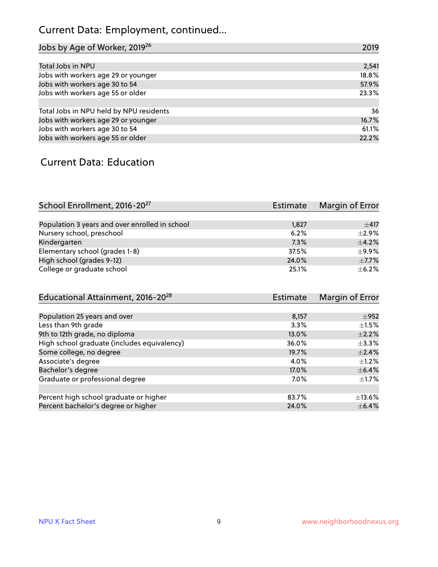## Current Data: Employment, continued...

| Jobs by Age of Worker, 2019 <sup>26</sup> | 2019  |
|-------------------------------------------|-------|
|                                           |       |
| Total Jobs in NPU                         | 2,541 |
| Jobs with workers age 29 or younger       | 18.8% |
| Jobs with workers age 30 to 54            | 57.9% |
| Jobs with workers age 55 or older         | 23.3% |
|                                           |       |
| Total Jobs in NPU held by NPU residents   | 36    |
| Jobs with workers age 29 or younger       | 16.7% |
| Jobs with workers age 30 to 54            | 61.1% |
| Jobs with workers age 55 or older         | 22.2% |

#### Current Data: Education

| School Enrollment, 2016-20 <sup>27</sup>       | Estimate | Margin of Error |
|------------------------------------------------|----------|-----------------|
|                                                |          |                 |
| Population 3 years and over enrolled in school | 1,827    | $+417$          |
| Nursery school, preschool                      | 6.2%     | $\pm$ 2.9%      |
| Kindergarten                                   | 7.3%     | $+4.2%$         |
| Elementary school (grades 1-8)                 | 37.5%    | $\pm$ 9.9%      |
| High school (grades 9-12)                      | 24.0%    | $\pm$ 7.7%      |
| College or graduate school                     | 25.1%    | $\pm$ 6.2%      |

| Educational Attainment, 2016-20 <sup>28</sup> | <b>Estimate</b> | Margin of Error |
|-----------------------------------------------|-----------------|-----------------|
|                                               |                 |                 |
| Population 25 years and over                  | 8,157           | $\pm$ 952       |
| Less than 9th grade                           | 3.3%            | $\pm 1.5\%$     |
| 9th to 12th grade, no diploma                 | 13.0%           | $\pm 2.2\%$     |
| High school graduate (includes equivalency)   | 36.0%           | $\pm$ 3.3%      |
| Some college, no degree                       | 19.7%           | $\pm$ 2.4%      |
| Associate's degree                            | 4.0%            | $\pm$ 1.2%      |
| Bachelor's degree                             | 17.0%           | $\pm$ 6.4%      |
| Graduate or professional degree               | 7.0%            | $\pm 1.7\%$     |
|                                               |                 |                 |
| Percent high school graduate or higher        | 83.7%           | $\pm$ 13.6%     |
| Percent bachelor's degree or higher           | 24.0%           | $\pm$ 6.4%      |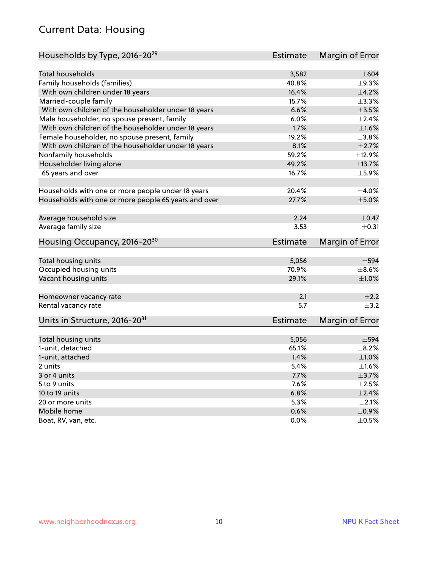#### Current Data: Housing

| Households by Type, 2016-20 <sup>29</sup>            | <b>Estimate</b> | Margin of Error          |
|------------------------------------------------------|-----------------|--------------------------|
|                                                      |                 |                          |
| <b>Total households</b>                              | 3,582           | $\pm 604$                |
| Family households (families)                         | 40.8%           | $\pm$ 9.3%               |
| With own children under 18 years                     | 16.4%           | ±4.2%                    |
| Married-couple family                                | 15.7%           | ±3.3%                    |
| With own children of the householder under 18 years  | 6.6%            | $\pm 3.5\%$              |
| Male householder, no spouse present, family          | 6.0%            | $\pm 2.4\%$              |
| With own children of the householder under 18 years  | 1.7%            | $\pm1.6\%$               |
| Female householder, no spouse present, family        | 19.2%           | $\pm$ 3.8%               |
| With own children of the householder under 18 years  | 8.1%            | $\pm 2.7\%$              |
| Nonfamily households                                 | 59.2%           | ±12.9%                   |
| Householder living alone                             | 49.2%           | ±13.7%                   |
| 65 years and over                                    | 16.7%           | $\pm$ 5.9%               |
|                                                      |                 |                          |
| Households with one or more people under 18 years    | 20.4%           | $\pm$ 4.0%               |
| Households with one or more people 65 years and over | 27.7%           | $\pm$ 5.0%               |
|                                                      |                 |                          |
| Average household size                               | 2.24            | $\pm$ 0.47               |
| Average family size                                  | 3.53            | $\pm$ 0.31               |
| Housing Occupancy, 2016-20 <sup>30</sup>             | <b>Estimate</b> | Margin of Error          |
|                                                      |                 |                          |
| Total housing units                                  | 5,056           | $\pm$ 594                |
| Occupied housing units                               |                 |                          |
|                                                      |                 |                          |
|                                                      | 70.9%           | $\pm$ 8.6%               |
| Vacant housing units                                 | 29.1%           | $\pm1.0\%$               |
|                                                      | 2.1             | $\pm 2.2$                |
| Homeowner vacancy rate                               | 5.7             | $\pm$ 3.2                |
| Rental vacancy rate                                  |                 |                          |
| Units in Structure, 2016-20 <sup>31</sup>            | <b>Estimate</b> | Margin of Error          |
|                                                      |                 |                          |
| Total housing units                                  | 5,056           | $\pm$ 594                |
| 1-unit, detached                                     | 65.1%           | $\pm$ 8.2%               |
| 1-unit, attached                                     | 1.4%            | $\pm1.0\%$               |
| 2 units                                              | 5.4%            | $\pm 1.6\%$              |
| 3 or 4 units                                         | 7.7%            | $\pm$ 3.7%               |
| 5 to 9 units                                         | 7.6%            | $\pm 2.5\%$              |
| 10 to 19 units                                       | 6.8%            | ±2.4%                    |
| 20 or more units                                     | 5.3%            | $\pm 2.1\%$              |
| Mobile home<br>Boat, RV, van, etc.                   | 0.6%<br>0.0%    | $\pm$ 0.9%<br>$\pm$ 0.5% |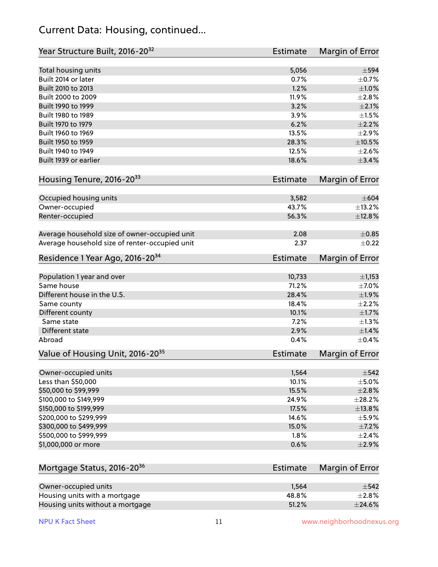#### Current Data: Housing, continued...

| Year Structure Built, 2016-20 <sup>32</sup>    | <b>Estimate</b> | <b>Margin of Error</b> |
|------------------------------------------------|-----------------|------------------------|
| Total housing units                            | 5,056           | $\pm$ 594              |
| Built 2014 or later                            | 0.7%            | $\pm$ 0.7%             |
| Built 2010 to 2013                             | 1.2%            | $\pm1.0\%$             |
| Built 2000 to 2009                             | 11.9%           | ±2.8%                  |
| Built 1990 to 1999                             | 3.2%            | $\pm 2.1\%$            |
| Built 1980 to 1989                             | 3.9%            | $\pm1.5\%$             |
| Built 1970 to 1979                             | 6.2%            | $\pm 2.2\%$            |
| Built 1960 to 1969                             | 13.5%           | $\pm 2.9\%$            |
| Built 1950 to 1959                             | 28.3%           | $\pm 10.5\%$           |
| Built 1940 to 1949                             | 12.5%           | $\pm 2.6\%$            |
| Built 1939 or earlier                          | 18.6%           | $\pm$ 3.4%             |
| Housing Tenure, 2016-2033                      | <b>Estimate</b> | Margin of Error        |
| Occupied housing units                         | 3,582           | $\pm 604$              |
| Owner-occupied                                 | 43.7%           | ±13.2%                 |
| Renter-occupied                                | 56.3%           | ±12.8%                 |
| Average household size of owner-occupied unit  | 2.08            | $\pm$ 0.85             |
| Average household size of renter-occupied unit | 2.37            | $\pm$ 0.22             |
| Residence 1 Year Ago, 2016-20 <sup>34</sup>    | <b>Estimate</b> | <b>Margin of Error</b> |
| Population 1 year and over                     | 10,733          | $\pm$ 1,153            |
| Same house                                     | 71.2%           | $\pm$ 7.0%             |
| Different house in the U.S.                    | 28.4%           | ±1.9%                  |
| Same county                                    | 18.4%           | $\pm 2.2\%$            |
| Different county                               | 10.1%           | $\pm$ 1.7%             |
| Same state                                     | 7.2%            | ±1.3%                  |
| Different state                                | 2.9%            | $\pm$ 1.4%             |
| Abroad                                         | 0.4%            | $\pm$ 0.4%             |
| Value of Housing Unit, 2016-20 <sup>35</sup>   | <b>Estimate</b> | Margin of Error        |
| Owner-occupied units                           | 1,564           | $\pm$ 542              |
| Less than \$50,000                             | 10.1%           | $\pm$ 5.0%             |
| \$50,000 to \$99,999                           | 15.5%           | $\pm 2.8\%$            |
| \$100,000 to \$149,999                         | 24.9%           | ±28.2%                 |
| \$150,000 to \$199,999                         | 17.5%           | ±13.8%                 |
| \$200,000 to \$299,999                         | 14.6%           | $\pm$ 5.9%             |
| \$300,000 to \$499,999                         | 15.0%           | $\pm$ 7.2%             |
| \$500,000 to \$999,999                         | 1.8%            | $\pm 2.4\%$            |
| \$1,000,000 or more                            | 0.6%            | $\pm 2.9\%$            |
| Mortgage Status, 2016-20 <sup>36</sup>         | <b>Estimate</b> | Margin of Error        |
| Owner-occupied units                           | 1,564           | $\pm$ 542              |
| Housing units with a mortgage                  | 48.8%           | ±2.8%                  |

Housing units without a mortgage  $\pm 24.6\%$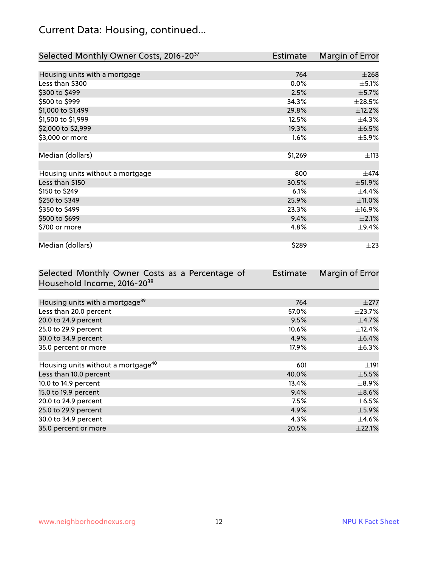## Current Data: Housing, continued...

| Selected Monthly Owner Costs, 2016-20 <sup>37</sup> | Estimate | Margin of Error |
|-----------------------------------------------------|----------|-----------------|
|                                                     |          |                 |
| Housing units with a mortgage                       | 764      | $\pm 268$       |
| Less than \$300                                     | 0.0%     | $\pm$ 5.1%      |
| \$300 to \$499                                      | 2.5%     | $\pm$ 5.7%      |
| \$500 to \$999                                      | 34.3%    | $\pm 28.5\%$    |
| \$1,000 to \$1,499                                  | 29.8%    | ±12.2%          |
| \$1,500 to \$1,999                                  | 12.5%    | ±4.3%           |
| \$2,000 to \$2,999                                  | 19.3%    | $\pm$ 6.5%      |
| \$3,000 or more                                     | 1.6%     | $\pm$ 5.9%      |
|                                                     |          |                 |
| Median (dollars)                                    | \$1,269  | ±113            |
|                                                     |          |                 |
| Housing units without a mortgage                    | 800      | $\pm$ 474       |
| Less than \$150                                     | 30.5%    | ±51.9%          |
| \$150 to \$249                                      | 6.1%     | $\pm$ 4.4%      |
| \$250 to \$349                                      | 25.9%    | $\pm$ 11.0%     |
| \$350 to \$499                                      | 23.3%    | ±16.9%          |
| \$500 to \$699                                      | 9.4%     | $\pm 2.1\%$     |
| \$700 or more                                       | 4.8%     | $\pm$ 9.4%      |
|                                                     |          |                 |
| Median (dollars)                                    | \$289    | $\pm 23$        |

| Selected Monthly Owner Costs as a Percentage of | <b>Estimate</b> | Margin of Error |
|-------------------------------------------------|-----------------|-----------------|
| Household Income, 2016-20 <sup>38</sup>         |                 |                 |
|                                                 |                 |                 |
| Housing units with a mortgage <sup>39</sup>     | 764             | $\pm 277$       |
| Less than 20.0 percent                          | 57.0%           | $\pm$ 23.7%     |
| 20.0 to 24.9 percent                            | 9.5%            | $\pm$ 4.7%      |
| 25.0 to 29.9 percent                            | 10.6%           | $\pm$ 12.4%     |
| 30.0 to 34.9 percent                            | 4.9%            | $\pm$ 6.4%      |
| 35.0 percent or more                            | 17.9%           | $\pm$ 6.3%      |
|                                                 |                 |                 |
| Housing units without a mortgage <sup>40</sup>  | 601             | $\pm$ 191       |
| Less than 10.0 percent                          | 40.0%           | $\pm$ 5.5%      |
| 10.0 to 14.9 percent                            | 13.4%           | $\pm$ 8.9%      |
| 15.0 to 19.9 percent                            | 9.4%            | $\pm$ 8.6%      |
| 20.0 to 24.9 percent                            | 7.5%            | $\pm$ 6.5%      |
| 25.0 to 29.9 percent                            | 4.9%            | $\pm$ 5.9%      |
| 30.0 to 34.9 percent                            | 4.3%            | $\pm$ 4.6%      |
| 35.0 percent or more                            | 20.5%           | ±22.1%          |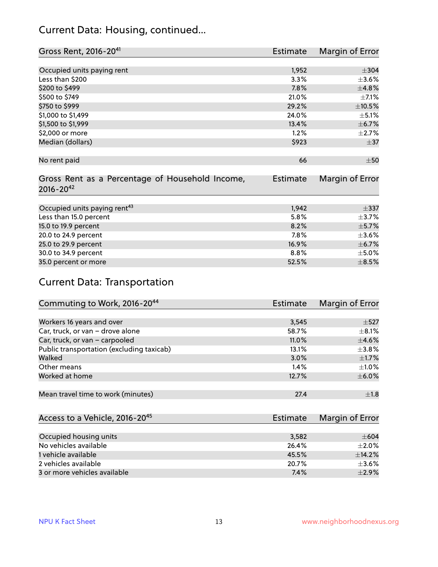#### Current Data: Housing, continued...

| Gross Rent, 2016-20 <sup>41</sup>                                   | <b>Estimate</b> | Margin of Error |
|---------------------------------------------------------------------|-----------------|-----------------|
|                                                                     |                 |                 |
| Occupied units paying rent                                          | 1,952           | $\pm$ 304       |
| Less than \$200                                                     | 3.3%            | $\pm 3.6\%$     |
| \$200 to \$499                                                      | 7.8%            | ±4.8%           |
| \$500 to \$749                                                      | 21.0%           | $\pm$ 7.1%      |
| \$750 to \$999                                                      | 29.2%           | $\pm$ 10.5%     |
| \$1,000 to \$1,499                                                  | 24.0%           | $\pm$ 5.1%      |
| \$1,500 to \$1,999                                                  | 13.4%           | $\pm$ 6.7%      |
| \$2,000 or more                                                     | 1.2%            | $\pm 2.7\%$     |
| Median (dollars)                                                    | \$923           | $\pm$ 37        |
| No rent paid                                                        | 66              | $\pm 50$        |
| Gross Rent as a Percentage of Household Income,<br>$2016 - 20^{42}$ | Estimate        | Margin of Error |
| Occupied units paying rent <sup>43</sup>                            | 1,942           | $+337$          |
| Less than 15.0 percent                                              | 5.8%            | $\pm$ 3.7%      |
| 15.0 to 19.9 percent                                                | 8.2%            | $\pm$ 5.7%      |
| 20.0 to 24.9 percent                                                | 7.8%            | $\pm 3.6\%$     |
| 25.0 to 29.9 percent                                                | 16.9%           | $\pm$ 6.7%      |
| 30.0 to 34.9 percent                                                | 8.8%            | $\pm$ 5.0%      |
| 35.0 percent or more                                                | 52.5%           | $\pm$ 8.5%      |

## Current Data: Transportation

| Commuting to Work, 2016-20 <sup>44</sup>  | Estimate | Margin of Error |
|-------------------------------------------|----------|-----------------|
|                                           |          |                 |
| Workers 16 years and over                 | 3,545    | $\pm$ 527       |
| Car, truck, or van - drove alone          | 58.7%    | $\pm$ 8.1%      |
| Car, truck, or van - carpooled            | 11.0%    | $\pm$ 4.6%      |
| Public transportation (excluding taxicab) | 13.1%    | $\pm$ 3.8%      |
| Walked                                    | 3.0%     | $\pm$ 1.7%      |
| Other means                               | 1.4%     | $\pm 1.0\%$     |
| Worked at home                            | 12.7%    | $\pm$ 6.0%      |
|                                           |          |                 |
| Mean travel time to work (minutes)        | 27.4     | $\pm 1.8$       |

| Access to a Vehicle, 2016-20 <sup>45</sup> | Estimate | Margin of Error |
|--------------------------------------------|----------|-----------------|
|                                            |          |                 |
| Occupied housing units                     | 3,582    | $\pm 604$       |
| No vehicles available                      | 26.4%    | $+2.0%$         |
| 1 vehicle available                        | 45.5%    | ±14.2%          |
| 2 vehicles available                       | 20.7%    | $\pm$ 3.6%      |
| 3 or more vehicles available               | 7.4%     | $+2.9%$         |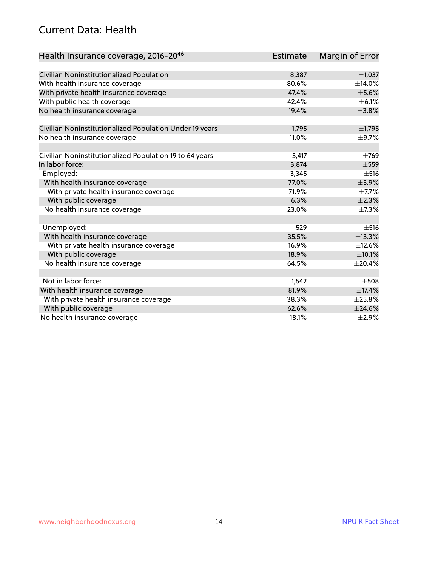#### Current Data: Health

| Health Insurance coverage, 2016-2046                    | <b>Estimate</b> | Margin of Error |
|---------------------------------------------------------|-----------------|-----------------|
|                                                         |                 |                 |
| Civilian Noninstitutionalized Population                | 8,387           | $\pm$ 1,037     |
| With health insurance coverage                          | 80.6%           | $\pm$ 14.0%     |
| With private health insurance coverage                  | 47.4%           | $\pm$ 5.6%      |
| With public health coverage                             | 42.4%           | $\pm$ 6.1%      |
| No health insurance coverage                            | 19.4%           | ±3.8%           |
| Civilian Noninstitutionalized Population Under 19 years | 1,795           | ±1,795          |
| No health insurance coverage                            | 11.0%           | $\pm$ 9.7%      |
|                                                         |                 |                 |
| Civilian Noninstitutionalized Population 19 to 64 years | 5,417           | $\pm 769$       |
| In labor force:                                         | 3,874           | $\pm$ 559       |
| Employed:                                               | 3,345           | $\pm$ 516       |
| With health insurance coverage                          | 77.0%           | $\pm$ 5.9%      |
| With private health insurance coverage                  | 71.9%           | $\pm$ 7.7%      |
| With public coverage                                    | 6.3%            | $\pm 2.3\%$     |
| No health insurance coverage                            | 23.0%           | $\pm$ 7.3%      |
|                                                         |                 |                 |
| Unemployed:                                             | 529             | $\pm$ 516       |
| With health insurance coverage                          | 35.5%           | ±13.3%          |
| With private health insurance coverage                  | 16.9%           | ±12.6%          |
| With public coverage                                    | 18.9%           | $\pm 10.1\%$    |
| No health insurance coverage                            | 64.5%           | $\pm 20.4\%$    |
|                                                         |                 |                 |
| Not in labor force:                                     | 1,542           | $\pm$ 508       |
| With health insurance coverage                          | 81.9%           | ±17.4%          |
| With private health insurance coverage                  | 38.3%           | $\pm 25.8\%$    |
| With public coverage                                    | 62.6%           | ±24.6%          |
| No health insurance coverage                            | 18.1%           | $\pm 2.9\%$     |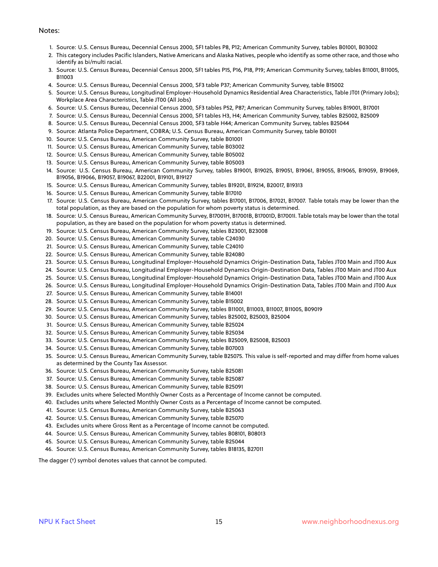#### Notes:

- 1. Source: U.S. Census Bureau, Decennial Census 2000, SF1 tables P8, P12; American Community Survey, tables B01001, B03002
- 2. This category includes Pacific Islanders, Native Americans and Alaska Natives, people who identify as some other race, and those who identify as bi/multi racial.
- 3. Source: U.S. Census Bureau, Decennial Census 2000, SF1 tables P15, P16, P18, P19; American Community Survey, tables B11001, B11005, B11003
- 4. Source: U.S. Census Bureau, Decennial Census 2000, SF3 table P37; American Community Survey, table B15002
- 5. Source: U.S. Census Bureau, Longitudinal Employer-Household Dynamics Residential Area Characteristics, Table JT01 (Primary Jobs); Workplace Area Characteristics, Table JT00 (All Jobs)
- 6. Source: U.S. Census Bureau, Decennial Census 2000, SF3 tables P52, P87; American Community Survey, tables B19001, B17001
- 7. Source: U.S. Census Bureau, Decennial Census 2000, SF1 tables H3, H4; American Community Survey, tables B25002, B25009
- 8. Source: U.S. Census Bureau, Decennial Census 2000, SF3 table H44; American Community Survey, tables B25044
- 9. Source: Atlanta Police Department, COBRA; U.S. Census Bureau, American Community Survey, table B01001
- 10. Source: U.S. Census Bureau, American Community Survey, table B01001
- 11. Source: U.S. Census Bureau, American Community Survey, table B03002
- 12. Source: U.S. Census Bureau, American Community Survey, table B05002
- 13. Source: U.S. Census Bureau, American Community Survey, table B05003
- 14. Source: U.S. Census Bureau, American Community Survey, tables B19001, B19025, B19051, B19061, B19055, B19065, B19059, B19069, B19056, B19066, B19057, B19067, B22001, B19101, B19127
- 15. Source: U.S. Census Bureau, American Community Survey, tables B19201, B19214, B20017, B19313
- 16. Source: U.S. Census Bureau, American Community Survey, table B17010
- 17. Source: U.S. Census Bureau, American Community Survey, tables B17001, B17006, B17021, B17007. Table totals may be lower than the total population, as they are based on the population for whom poverty status is determined.
- 18. Source: U.S. Census Bureau, American Community Survey, B17001H, B17001B, B17001D, B17001I. Table totals may be lower than the total population, as they are based on the population for whom poverty status is determined.
- 19. Source: U.S. Census Bureau, American Community Survey, tables B23001, B23008
- 20. Source: U.S. Census Bureau, American Community Survey, table C24030
- 21. Source: U.S. Census Bureau, American Community Survey, table C24010
- 22. Source: U.S. Census Bureau, American Community Survey, table B24080
- 23. Source: U.S. Census Bureau, Longitudinal Employer-Household Dynamics Origin-Destination Data, Tables JT00 Main and JT00 Aux
- 24. Source: U.S. Census Bureau, Longitudinal Employer-Household Dynamics Origin-Destination Data, Tables JT00 Main and JT00 Aux
- 25. Source: U.S. Census Bureau, Longitudinal Employer-Household Dynamics Origin-Destination Data, Tables JT00 Main and JT00 Aux
- 26. Source: U.S. Census Bureau, Longitudinal Employer-Household Dynamics Origin-Destination Data, Tables JT00 Main and JT00 Aux
- 27. Source: U.S. Census Bureau, American Community Survey, table B14001
- 28. Source: U.S. Census Bureau, American Community Survey, table B15002
- 29. Source: U.S. Census Bureau, American Community Survey, tables B11001, B11003, B11007, B11005, B09019
- 30. Source: U.S. Census Bureau, American Community Survey, tables B25002, B25003, B25004
- 31. Source: U.S. Census Bureau, American Community Survey, table B25024
- 32. Source: U.S. Census Bureau, American Community Survey, table B25034
- 33. Source: U.S. Census Bureau, American Community Survey, tables B25009, B25008, B25003
- 34. Source: U.S. Census Bureau, American Community Survey, table B07003
- 35. Source: U.S. Census Bureau, American Community Survey, table B25075. This value is self-reported and may differ from home values as determined by the County Tax Assessor.
- 36. Source: U.S. Census Bureau, American Community Survey, table B25081
- 37. Source: U.S. Census Bureau, American Community Survey, table B25087
- 38. Source: U.S. Census Bureau, American Community Survey, table B25091
- 39. Excludes units where Selected Monthly Owner Costs as a Percentage of Income cannot be computed.
- 40. Excludes units where Selected Monthly Owner Costs as a Percentage of Income cannot be computed.
- 41. Source: U.S. Census Bureau, American Community Survey, table B25063
- 42. Source: U.S. Census Bureau, American Community Survey, table B25070
- 43. Excludes units where Gross Rent as a Percentage of Income cannot be computed.
- 44. Source: U.S. Census Bureau, American Community Survey, tables B08101, B08013
- 45. Source: U.S. Census Bureau, American Community Survey, table B25044
- 46. Source: U.S. Census Bureau, American Community Survey, tables B18135, B27011

The dagger (†) symbol denotes values that cannot be computed.